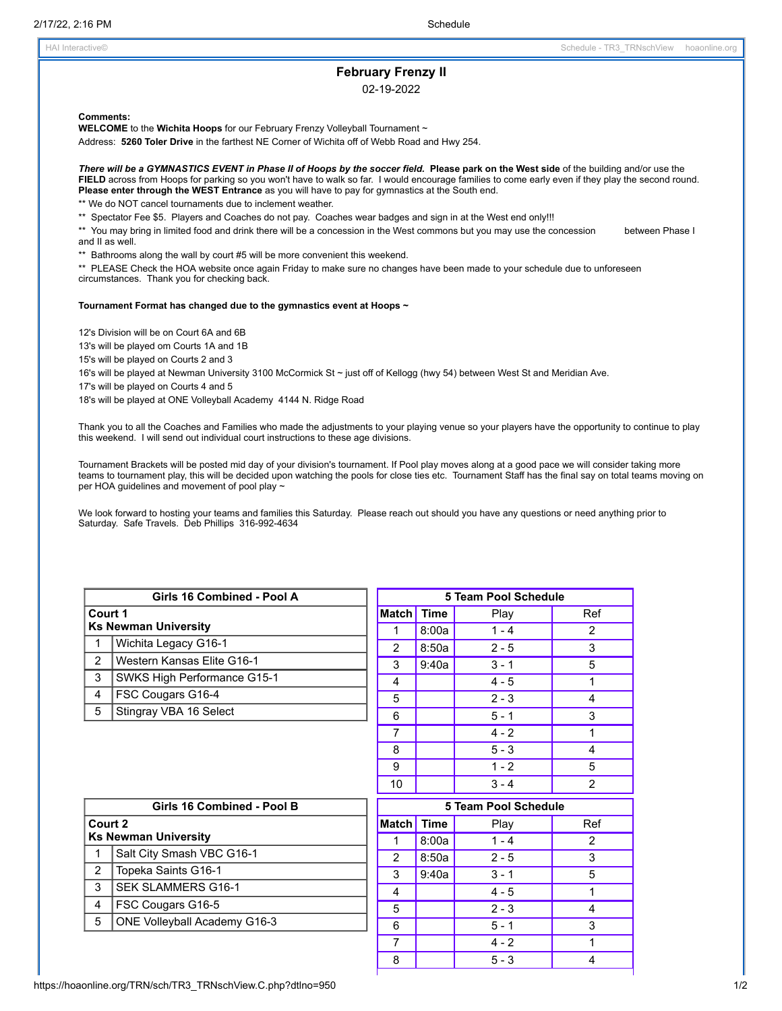# **February Frenzy II**

02-19-2022

**Comments:**

**WELCOME** to the **Wichita Hoops** for our February Frenzy Volleyball Tournament ~

Address: **5260 Toler Drive** in the farthest NE Corner of Wichita off of Webb Road and Hwy 254.

There will be a GYMNASTICS EVENT in Phase II of Hoops by the soccer field. Please park on the West side of the building and/or use the **FIELD** across from Hoops for parking so you won't have to walk so far. I would encourage families to come early even if they play the second round. **Please enter through the WEST Entrance** as you will have to pay for gymnastics at the South end. \*\* We do NOT cancel tournaments due to inclement weather.

\*\* Spectator Fee \$5. Players and Coaches do not pay. Coaches wear badges and sign in at the West end only!!!

\*\* You may bring in limited food and drink there will be a concession in the West commons but you may use the concession between Phase I and II as well.

\*\* Bathrooms along the wall by court #5 will be more convenient this weekend.

\*\* PLEASE Check the HOA website once again Friday to make sure no changes have been made to your schedule due to unforeseen circumstances. Thank you for checking back.

#### **Tournament Format has changed due to the gymnastics event at Hoops ~**

12's Division will be on Court 6A and 6B

13's will be played om Courts 1A and 1B

15's will be played on Courts 2 and 3

16's will be played at Newman University 3100 McCormick St ~ just off of Kellogg (hwy 54) between West St and Meridian Ave.

17's will be played on Courts 4 and 5

18's will be played at ONE Volleyball Academy 4144 N. Ridge Road

Thank you to all the Coaches and Families who made the adjustments to your playing venue so your players have the opportunity to continue to play this weekend. I will send out individual court instructions to these age divisions.

Tournament Brackets will be posted mid day of your division's tournament. If Pool play moves along at a good pace we will consider taking more teams to tournament play, this will be decided upon watching the pools for close ties etc. Tournament Staff has the final say on total teams moving on per HOA guidelines and movement of pool play ~

We look forward to hosting your teams and families this Saturday. Please reach out should you have any questions or need anything prior to Saturday. Safe Travels. Deb Phillips 316-992-4634

| Court 1<br><b>Ks Newman University</b> |                             |  |  |  |  |
|----------------------------------------|-----------------------------|--|--|--|--|
| 1                                      | Wichita Legacy G16-1        |  |  |  |  |
| 2                                      | Western Kansas Flite G16-1  |  |  |  |  |
| 3                                      | SWKS High Performance G15-1 |  |  |  |  |
| 4                                      | FSC Cougars G16-4           |  |  |  |  |
| 5                                      | Stingray VBA 16 Select      |  |  |  |  |
| Girls 16 Combined - Pool B             |                             |  |  |  |  |
| Court 2<br><b>Ks Newman University</b> |                             |  |  |  |  |
| 1                                      |                             |  |  |  |  |
|                                        | Salt City Smash VBC G16-1   |  |  |  |  |
| 2                                      | Topeka Saints G16-1         |  |  |  |  |
| 3                                      | <b>SEK SLAMMERS G16-1</b>   |  |  |  |  |
| 4                                      | FSC Cougars G16-5           |  |  |  |  |

**Girls 16 Combined - Pool A**

| 5 Team Pool Schedule |             |         |                |  |  |  |
|----------------------|-------------|---------|----------------|--|--|--|
| <b>Match</b>         | <b>Time</b> | Play    | Ref            |  |  |  |
| 1                    | 8:00a       | $1 - 4$ | 2              |  |  |  |
| 2                    | 8:50a       | $2 - 5$ | 3              |  |  |  |
| 3                    | 9:40a       | $3 - 1$ | 5              |  |  |  |
| 4                    |             | $4 - 5$ | 1              |  |  |  |
| 5                    |             | $2 - 3$ | 4              |  |  |  |
| 6                    |             | $5 - 1$ | 3              |  |  |  |
| 7                    |             | $4 - 2$ | 1              |  |  |  |
| 8                    |             | $5 - 3$ | 4              |  |  |  |
| 9                    |             | $1 - 2$ | 5              |  |  |  |
| 10                   |             | $3 - 4$ | $\overline{2}$ |  |  |  |

|            |       | <b>5 Team Pool Schedule</b> |     |
|------------|-------|-----------------------------|-----|
| Match Time |       | Play                        | Ref |
|            | 8:00a | $1 - 4$                     | 2   |
| 2          | 8:50a | $2 - 5$                     | 3   |
| 3          | 9:40a | $3 - 1$                     | 5   |
| 4          |       | $4 - 5$                     |     |
| 5          |       | $2 - 3$                     |     |
| 6          |       | $5 - 1$                     | 3   |
| 7          |       | $4 - 2$                     |     |
| 8          |       | $5 - 3$                     |     |